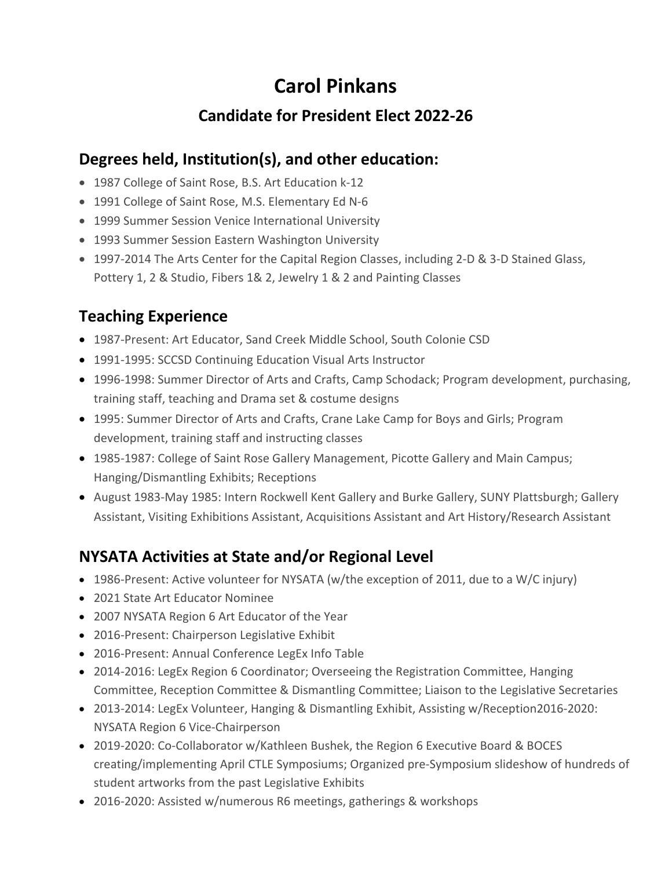# **Carol Pinkans**

#### **Candidate for President Elect 2022-26**

#### **Degrees held, Institution(s), and other education:**

- 1987 College of Saint Rose, B.S. Art Education k-12
- 1991 College of Saint Rose, M.S. Elementary Ed N-6
- 1999 Summer Session Venice International University
- 1993 Summer Session Eastern Washington University
- 1997-2014 The Arts Center for the Capital Region Classes, including 2-D & 3-D Stained Glass, Pottery 1, 2 & Studio, Fibers 1& 2, Jewelry 1 & 2 and Painting Classes

### **Teaching Experience**

- 1987-Present: Art Educator, Sand Creek Middle School, South Colonie CSD
- 1991-1995: SCCSD Continuing Education Visual Arts Instructor
- 1996-1998: Summer Director of Arts and Crafts, Camp Schodack; Program development, purchasing, training staff, teaching and Drama set & costume designs
- 1995: Summer Director of Arts and Crafts, Crane Lake Camp for Boys and Girls; Program development, training staff and instructing classes
- 1985-1987: College of Saint Rose Gallery Management, Picotte Gallery and Main Campus; Hanging/Dismantling Exhibits; Receptions
- August 1983-May 1985: Intern Rockwell Kent Gallery and Burke Gallery, SUNY Plattsburgh; Gallery Assistant, Visiting Exhibitions Assistant, Acquisitions Assistant and Art History/Research Assistant

## **NYSATA Activities at State and/or Regional Level**

- 1986-Present: Active volunteer for NYSATA (w/the exception of 2011, due to a W/C injury)
- 2021 State Art Educator Nominee
- 2007 NYSATA Region 6 Art Educator of the Year
- 2016-Present: Chairperson Legislative Exhibit
- 2016-Present: Annual Conference LegEx Info Table
- 2014-2016: LegEx Region 6 Coordinator; Overseeing the Registration Committee, Hanging Committee, Reception Committee & Dismantling Committee; Liaison to the Legislative Secretaries
- 2013-2014: LegEx Volunteer, Hanging & Dismantling Exhibit, Assisting w/Reception2016-2020: NYSATA Region 6 Vice-Chairperson
- 2019-2020: Co-Collaborator w/Kathleen Bushek, the Region 6 Executive Board & BOCES creating/implementing April CTLE Symposiums; Organized pre-Symposium slideshow of hundreds of student artworks from the past Legislative Exhibits
- 2016-2020: Assisted w/numerous R6 meetings, gatherings & workshops